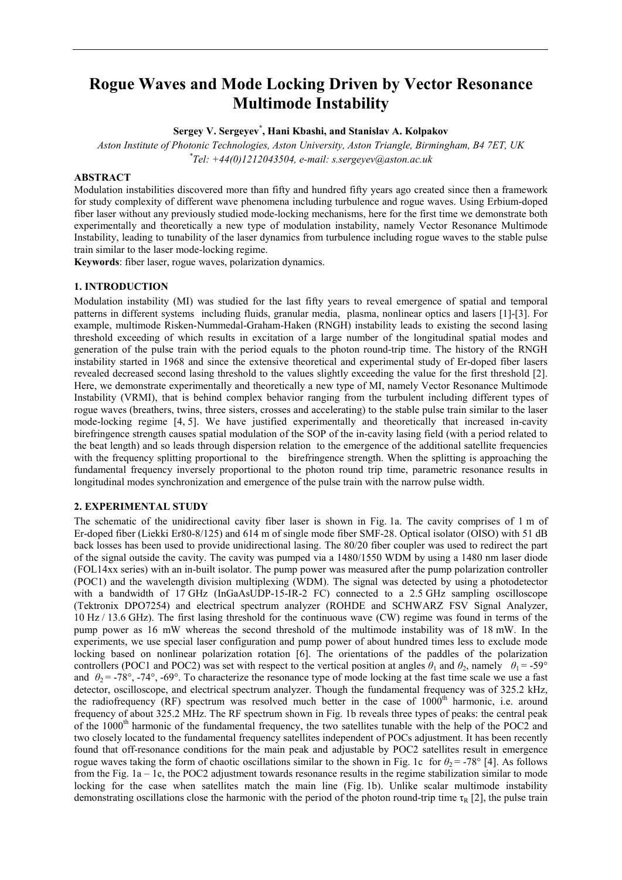# **Rogue Waves and Mode Locking Driven by Vector Resonance Multimode Instability**

# **Sergey V. Sergeyev\* , Hani Kbashi, and Stanislav A. Kolpakov**

*Aston Institute of Photonic Technologies, Aston University, Aston Triangle, Birmingham, B4 7ET, UK \* Tel: +44(0)1212043504, e-mail: s.sergeyev@aston.ac.uk*

# **ABSTRACT**

Modulation instabilities discovered more than fifty and hundred fifty years ago created since then a framework for study complexity of different wave phenomena including turbulence and rogue waves. Using Erbium-doped fiber laser without any previously studied mode-locking mechanisms, here for the first time we demonstrate both experimentally and theoretically a new type of modulation instability, namely Vector Resonance Multimode Instability, leading to tunability of the laser dynamics from turbulence including rogue waves to the stable pulse train similar to the laser mode-locking regime.

**Keywords**: fiber laser, rogue waves, polarization dynamics.

### **1. INTRODUCTION**

Modulation instability (MI) was studied for the last fifty years to reveal emergence of spatial and temporal patterns in different systems including fluids, granular media, plasma, nonlinear optics and lasers [1]-[3]. For example, multimode Risken-Nummedal-Graham-Haken (RNGH) instability leads to existing the second lasing threshold exceeding of which results in excitation of a large number of the longitudinal spatial modes and generation of the pulse train with the period equals to the photon round-trip time. The history of the RNGH instability started in 1968 and since the extensive theoretical and experimental study of Er-doped fiber lasers revealed decreased second lasing threshold to the values slightly exceeding the value for the first threshold [2]. Here, we demonstrate experimentally and theoretically a new type of MI, namely Vector Resonance Multimode Instability (VRMI), that is behind complex behavior ranging from the turbulent including different types of rogue waves (breathers, twins, three sisters, crosses and accelerating) to the stable pulse train similar to the laser mode-locking regime [4, 5]. We have justified experimentally and theoretically that increased in-cavity birefringence strength causes spatial modulation of the SOP of the in-cavity lasing field (with a period related to the beat length) and so leads through dispersion relation to the emergence of the additional satellite frequencies with the frequency splitting proportional to the birefringence strength. When the splitting is approaching the fundamental frequency inversely proportional to the photon round trip time, parametric resonance results in longitudinal modes synchronization and emergence of the pulse train with the narrow pulse width.

# **2. EXPERIMENTAL STUDY**

The schematic of the unidirectional cavity fiber laser is shown in Fig. 1a. The cavity comprises of 1 m of Er-doped fiber (Liekki Er80-8/125) and 614 m of single mode fiber SMF-28. Optical isolator (OISO) with 51 dB back losses has been used to provide unidirectional lasing. The 80/20 fiber coupler was used to redirect the part of the signal outside the cavity. The cavity was pumped via a 1480/1550 WDM by using a 1480 nm laser diode (FOL14xx series) with an in-built isolator. The pump power was measured after the pump polarization controller (POC1) and the wavelength division multiplexing (WDM). The signal was detected by using a photodetector with a bandwidth of 17 GHz (InGaAsUDP-15-IR-2 FC) connected to a 2.5 GHz sampling oscilloscope (Tektronix DPO7254) and electrical spectrum analyzer (ROHDE and SCHWARZ FSV Signal Analyzer, 10 Hz / 13.6 GHz). The first lasing threshold for the continuous wave (CW) regime was found in terms of the pump power as 16 mW whereas the second threshold of the multimode instability was of 18 mW. In the experiments, we use special laser configuration and pump power of about hundred times less to exclude mode locking based on nonlinear polarization rotation [6]. The orientations of the paddles of the polarization controllers (POC1 and POC2) was set with respect to the vertical position at angles  $\theta_1$  and  $\theta_2$ , namely  $\theta_1 = -59^\circ$ and  $\theta_2 = -78^\circ$ ,  $-74^\circ$ ,  $-69^\circ$ . To characterize the resonance type of mode locking at the fast time scale we use a fast detector, oscilloscope, and electrical spectrum analyzer. Though the fundamental frequency was of 325.2 kHz, the radiofrequency (RF) spectrum was resolved much better in the case of 1000<sup>th</sup> harmonic, i.e. around frequency of about 325.2 MHz. The RF spectrum shown in Fig. 1b reveals three types of peaks: the central peak of the 1000<sup>th</sup> harmonic of the fundamental frequency, the two satellites tunable with the help of the POC2 and two closely located to the fundamental frequency satellites independent of POCs adjustment. It has been recently found that off-resonance conditions for the main peak and adjustable by POC2 satellites result in emergence rogue waves taking the form of chaotic oscillations similar to the shown in Fig. 1c for  $\theta_2 = -78^\circ$  [4]. As follows from the Fig. 1a – 1c, the POC2 adjustment towards resonance results in the regime stabilization similar to mode locking for the case when satellites match the main line (Fig. 1b). Unlike scalar multimode instability demonstrating oscillations close the harmonic with the period of the photon round-trip time  $\tau_R$  [2], the pulse train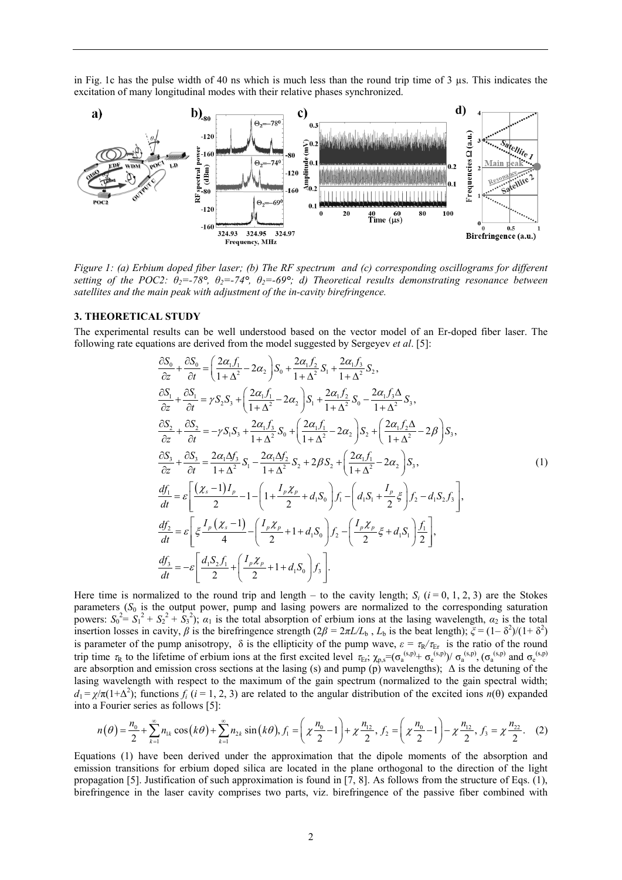in Fig. 1c has the pulse width of 40 ns which is much less than the round trip time of  $3 \mu s$ . This indicates the excitation of many longitudinal modes with their relative phases synchronized.



*Figure 1: (a) Erbium doped fiber laser; (b) The RF spectrum and (c) corresponding oscillograms for different setting of the POC2:*  $\theta_2 = -78$ <sup>o</sup>,  $\theta_2 = -74$ <sup>o</sup>,  $\theta_2 = -69$ <sup>o</sup>; d) Theoretical results demonstrating resonance between *satellites and the main peak with adjustment of the in-cavity birefringence.*

## **3. THEORETICAL STUDY**

The experimental results can be well understood based on the vector model of an Er-doped fiber laser. The following rate equations are derived from the model suggested by Sergeyev *et al*. [5]:

$$
\frac{\partial S_{0}}{\partial z} + \frac{\partial S_{0}}{\partial t} = \left(\frac{2\alpha_{1}f_{1}}{1+\Delta^{2}} - 2\alpha_{2}\right)S_{0} + \frac{2\alpha_{1}f_{2}}{1+\Delta^{2}}S_{1} + \frac{2\alpha_{1}f_{3}}{1+\Delta^{2}}S_{2},
$$
\n
$$
\frac{\partial S_{1}}{\partial z} + \frac{\partial S_{1}}{\partial t} = \gamma S_{2}S_{3} + \left(\frac{2\alpha_{1}f_{1}}{1+\Delta^{2}} - 2\alpha_{2}\right)S_{1} + \frac{2\alpha_{1}f_{2}}{1+\Delta^{2}}S_{0} - \frac{2\alpha_{1}f_{3}\Delta}{1+\Delta^{2}}S_{3},
$$
\n
$$
\frac{\partial S_{2}}{\partial z} + \frac{\partial S_{2}}{\partial t} = -\gamma S_{1}S_{3} + \frac{2\alpha_{1}f_{3}}{1+\Delta^{2}}S_{0} + \left(\frac{2\alpha_{1}f_{1}}{1+\Delta^{2}} - 2\alpha_{2}\right)S_{2} + \left(\frac{2\alpha_{1}f_{2}\Delta}{1+\Delta^{2}} - 2\beta\right)S_{3},
$$
\n
$$
\frac{\partial S_{3}}{\partial z} + \frac{\partial S_{3}}{\partial t} = \frac{2\alpha_{1}\Delta f_{3}}{1+\Delta^{2}}S_{1} - \frac{2\alpha_{1}\Delta f_{2}}{1+\Delta^{2}}S_{2} + 2\beta S_{2} + \left(\frac{2\alpha_{1}f_{1}}{1+\Delta^{2}} - 2\alpha_{2}\right)S_{3},
$$
\n
$$
\frac{df_{1}}{dt} = \varepsilon \left[\frac{(\chi_{s} - 1)I_{p}}{2} - 1 - \left(1 + \frac{I_{p}\chi_{p}}{2} + d_{1}S_{0}\right)f_{1} - \left(d_{1}S_{1} + \frac{I_{p}}{2}\xi\right)f_{2} - d_{1}S_{2}f_{3}\right],
$$
\n
$$
\frac{df_{2}}{dt} = \varepsilon \left[\xi \frac{I_{p}(\chi_{s} - 1)}{4} - \left(\frac{I_{p}\chi_{p}}{2} + 1 + d_{1}S_{0}\right)f_{2} - \left(\frac{I_{p}\chi_{p}}{2}\xi + d_{1}S_{1}\right)\frac{f
$$

Here time is normalized to the round trip and length – to the cavity length;  $S_i$  ( $i = 0, 1, 2, 3$ ) are the Stokes parameters (*S*<sup>0</sup> is the output power, pump and lasing powers are normalized to the corresponding saturation powers:  $S_0^2 = S_1^2 + S_2^2 + S_3^2$ ;  $\alpha_1$  is the total absorption of erbium ions at the lasing wavelength,  $\alpha_2$  is the total insertion losses in cavity,  $\beta$  is the birefringence strength ( $2\beta = 2\pi L/L_b$ ,  $L_b$  is the beat length);  $\xi = (1 - \delta^2)/(1 + \delta^2)$ is parameter of the pump anisotropy,  $\delta$  is the ellipticity of the pump wave,  $\varepsilon = \tau_R/\tau_{E_r}$  is the ratio of the round trip time  $\tau_R$  to the lifetime of erbium ions at the first excited level  $\tau_{Er}$ ;  $\chi_{p,s} = (\sigma_a^{(s,p)} + \sigma_e^{(s,p)}) / \sigma_a^{(s,p)}$ ,  $(\sigma_a^{(s,p)}$  and  $\sigma_e^{(s,p)}$ are absorption and emission cross sections at the lasing (s) and pump (p) wavelengths);  $\Delta$  is the detuning of the lasing wavelength with respect to the maximum of the gain spectrum (normalized to the gain spectral width;  $d_1 = \chi/\pi(1+\Delta^2)$ ; functions  $f_i$  ( $i = 1, 2, 3$ ) are related to the angular distribution of the excited ions  $n(\theta)$  expanded into a Fourier series as follows [5]:

$$
n(\theta) = \frac{n_0}{2} + \sum_{k=1}^{\infty} n_{1k} \cos(k\theta) + \sum_{k=1}^{\infty} n_{2k} \sin(k\theta), f_1 = \left(\chi \frac{n_0}{2} - 1\right) + \chi \frac{n_{12}}{2}, f_2 = \left(\chi \frac{n_0}{2} - 1\right) - \chi \frac{n_{12}}{2}, f_3 = \chi \frac{n_{22}}{2}.
$$
 (2)

Equations (1) have been derived under the approximation that the dipole moments of the absorption and emission transitions for erbium doped silica are located in the plane orthogonal to the direction of the light propagation [5]. Justification of such approximation is found in [7, 8]. As follows from the structure of Eqs. (1), birefringence in the laser cavity comprises two parts, viz. birefringence of the passive fiber combined with